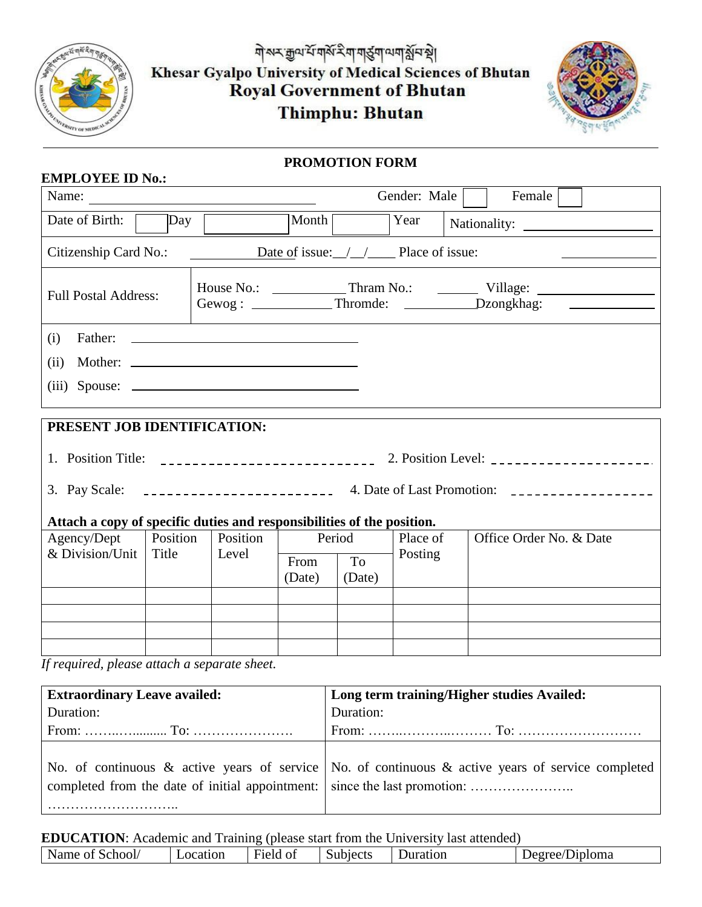

**EMPLOYEE ID No.:**

ঀ৾৵ৼড়ৢ৽৽ৼয়ড়৾ৼয়৽ঀড়ৢঀড় Khesar Gyalpo University of Medical Sciences of Bhutan Royal Government of Bhutan Thimphu: Bhutan



## **PROMOTION FORM**

| Gender: Male<br>Female<br>Name:<br><u> 1980 - Jan Samuel Barbara, martin di</u>       |                 |          |                |              |          |                                                                                                                                                                                                                                                                                                                |  |  |  |  |
|---------------------------------------------------------------------------------------|-----------------|----------|----------------|--------------|----------|----------------------------------------------------------------------------------------------------------------------------------------------------------------------------------------------------------------------------------------------------------------------------------------------------------------|--|--|--|--|
| Day<br>Date of Birth:                                                                 |                 |          | Month          |              | Year     | Nationality:                                                                                                                                                                                                                                                                                                   |  |  |  |  |
| Date of issue: $\angle$ $\angle$ $\angle$ Place of issue:<br>Citizenship Card No.:    |                 |          |                |              |          |                                                                                                                                                                                                                                                                                                                |  |  |  |  |
| <b>Full Postal Address:</b>                                                           |                 |          |                |              |          | Gewog: ______________Thromde: _______________Dzongkhag: ________________________                                                                                                                                                                                                                               |  |  |  |  |
| (i)                                                                                   |                 |          |                |              |          |                                                                                                                                                                                                                                                                                                                |  |  |  |  |
| (ii)                                                                                  |                 |          |                |              |          |                                                                                                                                                                                                                                                                                                                |  |  |  |  |
| (iii) Spouse:                                                                         |                 |          |                |              |          |                                                                                                                                                                                                                                                                                                                |  |  |  |  |
|                                                                                       |                 |          |                |              |          |                                                                                                                                                                                                                                                                                                                |  |  |  |  |
| PRESENT JOB IDENTIFICATION:                                                           |                 |          |                |              |          |                                                                                                                                                                                                                                                                                                                |  |  |  |  |
|                                                                                       |                 |          |                |              |          | 1. Position Title: $\frac{1}{2}$ $\frac{1}{2}$ $\frac{1}{2}$ $\frac{1}{2}$ $\frac{1}{2}$ $\frac{1}{2}$ $\frac{1}{2}$ $\frac{1}{2}$ $\frac{1}{2}$ $\frac{1}{2}$ $\frac{1}{2}$ $\frac{1}{2}$ $\frac{1}{2}$ $\frac{1}{2}$ $\frac{1}{2}$ $\frac{1}{2}$ $\frac{1}{2}$ $\frac{1}{2}$ $\frac{1}{2}$ $\frac{1}{2}$ $\$ |  |  |  |  |
|                                                                                       |                 |          |                |              |          |                                                                                                                                                                                                                                                                                                                |  |  |  |  |
|                                                                                       |                 |          |                |              |          |                                                                                                                                                                                                                                                                                                                |  |  |  |  |
| Attach a copy of specific duties and responsibilities of the position.<br>Agency/Dept | <i>Position</i> | Position |                |              | Place of | Office Order No. & Date                                                                                                                                                                                                                                                                                        |  |  |  |  |
| & Division/Unit                                                                       | Title           | Level    | Period         |              | Posting  |                                                                                                                                                                                                                                                                                                                |  |  |  |  |
|                                                                                       |                 |          | From<br>(Date) | To<br>(Date) |          |                                                                                                                                                                                                                                                                                                                |  |  |  |  |
|                                                                                       |                 |          |                |              |          |                                                                                                                                                                                                                                                                                                                |  |  |  |  |
|                                                                                       |                 |          |                |              |          |                                                                                                                                                                                                                                                                                                                |  |  |  |  |
|                                                                                       |                 |          |                |              |          |                                                                                                                                                                                                                                                                                                                |  |  |  |  |
| If required, please attach a separate sheet.                                          |                 |          |                |              |          |                                                                                                                                                                                                                                                                                                                |  |  |  |  |

*If required, please attach a separate sheet.*

| <b>Extraordinary Leave availed:</b>                                       | Long term training/Higher studies Availed:                                                        |
|---------------------------------------------------------------------------|---------------------------------------------------------------------------------------------------|
| Duration:                                                                 | Duration:                                                                                         |
|                                                                           |                                                                                                   |
| completed from the date of initial appointment: since the last promotion: | No. of continuous & active years of service No. of continuous & active years of service completed |

**EDUCATION**: Academic and Training (please start from the University last attended)

| Field of<br>ocation<br>Jiploma<br>Juration<br>School<br>Subjects<br>$\blacksquare$ Decrection<br>$_{\rm O1}$ |      |  | $\sim$ |  |
|--------------------------------------------------------------------------------------------------------------|------|--|--------|--|
|                                                                                                              | Name |  |        |  |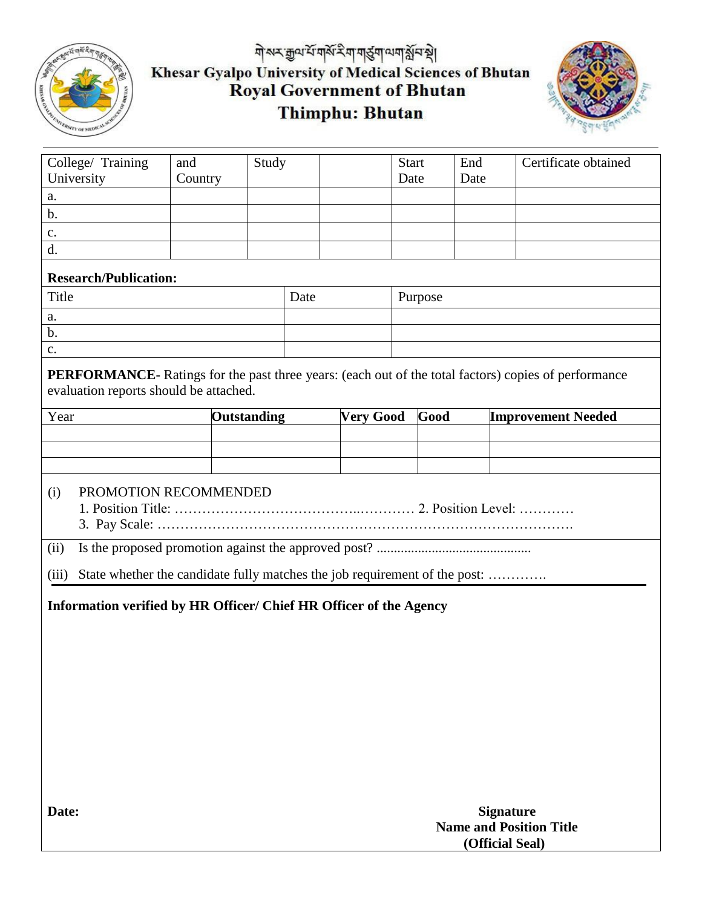

## मोरूर मुयर्भे मार्कर रैम मार्डुमा स्थान के निर्धातक Khesar Gyalpo University of Medical Sciences of Bhutan<br>Royal Government of Bhutan Thimphu: Bhutan



| College/ Training<br>University                                                                                                                       | and<br>Country | Study |                                        |  | <b>Start</b><br>Date |         | End<br>Date |                           | Certificate obtained |
|-------------------------------------------------------------------------------------------------------------------------------------------------------|----------------|-------|----------------------------------------|--|----------------------|---------|-------------|---------------------------|----------------------|
| a.                                                                                                                                                    |                |       |                                        |  |                      |         |             |                           |                      |
| b.                                                                                                                                                    |                |       |                                        |  |                      |         |             |                           |                      |
| c.                                                                                                                                                    |                |       |                                        |  |                      |         |             |                           |                      |
| d.                                                                                                                                                    |                |       |                                        |  |                      |         |             |                           |                      |
| <b>Research/Publication:</b>                                                                                                                          |                |       |                                        |  |                      |         |             |                           |                      |
| Title                                                                                                                                                 |                |       | Date                                   |  |                      | Purpose |             |                           |                      |
| a.                                                                                                                                                    |                |       |                                        |  |                      |         |             |                           |                      |
| $\mathbf b$ .                                                                                                                                         |                |       |                                        |  |                      |         |             |                           |                      |
| $\mathbf{c}$ .                                                                                                                                        |                |       |                                        |  |                      |         |             |                           |                      |
| <b>PERFORMANCE-</b> Ratings for the past three years: (each out of the total factors) copies of performance<br>evaluation reports should be attached. |                |       |                                        |  |                      |         |             |                           |                      |
| Year                                                                                                                                                  |                |       | <b>Outstanding</b><br><b>Very Good</b> |  |                      | Good    |             | <b>Improvement Needed</b> |                      |
|                                                                                                                                                       |                |       |                                        |  |                      |         |             |                           |                      |
|                                                                                                                                                       |                |       |                                        |  |                      |         |             |                           |                      |
|                                                                                                                                                       |                |       |                                        |  |                      |         |             |                           |                      |
| PROMOTION RECOMMENDED<br>(i)                                                                                                                          |                |       |                                        |  |                      |         |             |                           |                      |
| (ii)                                                                                                                                                  |                |       |                                        |  |                      |         |             |                           |                      |
| State whether the candidate fully matches the job requirement of the post:<br>(iii)                                                                   |                |       |                                        |  |                      |         |             |                           |                      |
| Information verified by HR Officer/ Chief HR Officer of the Agency                                                                                    |                |       |                                        |  |                      |         |             |                           |                      |
|                                                                                                                                                       |                |       |                                        |  |                      |         |             |                           |                      |
|                                                                                                                                                       |                |       |                                        |  |                      |         |             |                           |                      |
|                                                                                                                                                       |                |       |                                        |  |                      |         |             |                           |                      |
|                                                                                                                                                       |                |       |                                        |  |                      |         |             |                           |                      |
|                                                                                                                                                       |                |       |                                        |  |                      |         |             |                           |                      |
|                                                                                                                                                       |                |       |                                        |  |                      |         |             |                           |                      |
|                                                                                                                                                       |                |       |                                        |  |                      |         |             |                           |                      |
|                                                                                                                                                       |                |       |                                        |  |                      |         |             |                           |                      |
|                                                                                                                                                       |                |       |                                        |  |                      |         |             |                           |                      |
|                                                                                                                                                       |                |       |                                        |  |                      |         |             |                           |                      |
| Date:<br><b>Signature</b><br><b>Name and Position Title</b>                                                                                           |                |       |                                        |  |                      |         |             |                           |                      |
|                                                                                                                                                       |                |       | (Official Seal)                        |  |                      |         |             |                           |                      |